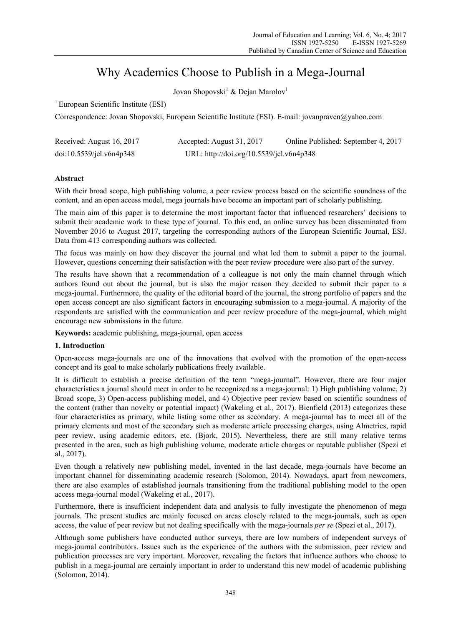# Why Academics Choose to Publish in a Mega-Journal

Jovan Shopovski $^1$  & Dejan Marolov $^1$ 

 $1$  European Scientific Institute (ESI)

Correspondence: Jovan Shopovski, European Scientific Institute (ESI). E-mail: jovanpraven@yahoo.com

| Received: August 16, 2017 | Accepted: August 31, 2017                | Online Published: September 4, 2017 |
|---------------------------|------------------------------------------|-------------------------------------|
| doi:10.5539/jet.v6n4p348  | URL: http://doi.org/10.5539/jel.v6n4p348 |                                     |

# **Abstract**

With their broad scope, high publishing volume, a peer review process based on the scientific soundness of the content, and an open access model, mega journals have become an important part of scholarly publishing.

The main aim of this paper is to determine the most important factor that influenced researchers' decisions to submit their academic work to these type of journal. To this end, an online survey has been disseminated from November 2016 to August 2017, targeting the corresponding authors of the European Scientific Journal, ESJ. Data from 413 corresponding authors was collected.

The focus was mainly on how they discover the journal and what led them to submit a paper to the journal. However, questions concerning their satisfaction with the peer review procedure were also part of the survey.

The results have shown that a recommendation of a colleague is not only the main channel through which authors found out about the journal, but is also the major reason they decided to submit their paper to a mega-journal. Furthermore, the quality of the editorial board of the journal, the strong portfolio of papers and the open access concept are also significant factors in encouraging submission to a mega-journal. A majority of the respondents are satisfied with the communication and peer review procedure of the mega-journal, which might encourage new submissions in the future.

**Keywords:** academic publishing, mega-journal, open access

## **1. Introduction**

Open-access mega-journals are one of the innovations that evolved with the promotion of the open-access concept and its goal to make scholarly publications freely available.

It is difficult to establish a precise definition of the term "mega-journal". However, there are four major characteristics a journal should meet in order to be recognized as a mega-journal: 1) High publishing volume, 2) Broad scope, 3) Open-access publishing model, and 4) Objective peer review based on scientific soundness of the content (rather than novelty or potential impact) (Wakeling et al., 2017). Bienfield (2013) categorizes these four characteristics as primary, while listing some other as secondary. A mega-journal has to meet all of the primary elements and most of the secondary such as moderate article processing charges, using Almetrics, rapid peer review, using academic editors, etc. (Bjork, 2015). Nevertheless, there are still many relative terms presented in the area, such as high publishing volume, moderate article charges or reputable publisher (Spezi et al., 2017).

Even though a relatively new publishing model, invented in the last decade, mega-journals have become an important channel for disseminating academic research (Solomon, 2014). Nowadays, apart from newcomers, there are also examples of established journals transitioning from the traditional publishing model to the open access mega-journal model (Wakeling et al., 2017).

Furthermore, there is insufficient independent data and analysis to fully investigate the phenomenon of mega journals. The present studies are mainly focused on areas closely related to the mega-journals, such as open access, the value of peer review but not dealing specifically with the mega-journals *per se* (Spezi et al., 2017).

Although some publishers have conducted author surveys, there are low numbers of independent surveys of mega-journal contributors. Issues such as the experience of the authors with the submission, peer review and publication processes are very important. Moreover, revealing the factors that influence authors who choose to publish in a mega-journal are certainly important in order to understand this new model of academic publishing (Solomon, 2014).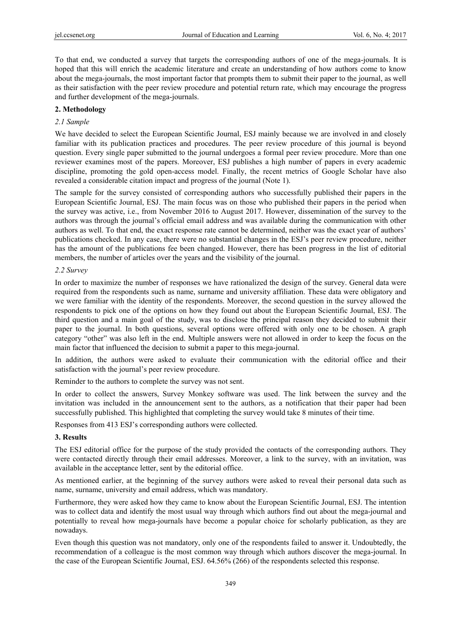To that end, we conducted a survey that targets the corresponding authors of one of the mega-journals. It is hoped that this will enrich the academic literature and create an understanding of how authors come to know about the mega-journals, the most important factor that prompts them to submit their paper to the journal, as well as their satisfaction with the peer review procedure and potential return rate, which may encourage the progress and further development of the mega-journals.

## **2. Methodology**

# *2.1 Sample*

We have decided to select the European Scientific Journal, ESJ mainly because we are involved in and closely familiar with its publication practices and procedures. The peer review procedure of this journal is beyond question. Every single paper submitted to the journal undergoes a formal peer review procedure. More than one reviewer examines most of the papers. Moreover, ESJ publishes a high number of papers in every academic discipline, promoting the gold open-access model. Finally, the recent metrics of Google Scholar have also revealed a considerable citation impact and progress of the journal (Note 1).

The sample for the survey consisted of corresponding authors who successfully published their papers in the European Scientific Journal, ESJ. The main focus was on those who published their papers in the period when the survey was active, i.e., from November 2016 to August 2017. However, dissemination of the survey to the authors was through the journal's official email address and was available during the communication with other authors as well. To that end, the exact response rate cannot be determined, neither was the exact year of authors' publications checked. In any case, there were no substantial changes in the ESJ's peer review procedure, neither has the amount of the publications fee been changed. However, there has been progress in the list of editorial members, the number of articles over the years and the visibility of the journal.

## *2.2 Survey*

In order to maximize the number of responses we have rationalized the design of the survey. General data were required from the respondents such as name, surname and university affiliation. These data were obligatory and we were familiar with the identity of the respondents. Moreover, the second question in the survey allowed the respondents to pick one of the options on how they found out about the European Scientific Journal, ESJ. The third question and a main goal of the study, was to disclose the principal reason they decided to submit their paper to the journal. In both questions, several options were offered with only one to be chosen. A graph category "other" was also left in the end. Multiple answers were not allowed in order to keep the focus on the main factor that influenced the decision to submit a paper to this mega-journal.

In addition, the authors were asked to evaluate their communication with the editorial office and their satisfaction with the journal's peer review procedure.

Reminder to the authors to complete the survey was not sent.

In order to collect the answers, Survey Monkey software was used. The link between the survey and the invitation was included in the announcement sent to the authors, as a notification that their paper had been successfully published. This highlighted that completing the survey would take 8 minutes of their time.

Responses from 413 ESJ's corresponding authors were collected.

## **3. Results**

The ESJ editorial office for the purpose of the study provided the contacts of the corresponding authors. They were contacted directly through their email addresses. Moreover, a link to the survey, with an invitation, was available in the acceptance letter, sent by the editorial office.

As mentioned earlier, at the beginning of the survey authors were asked to reveal their personal data such as name, surname, university and email address, which was mandatory.

Furthermore, they were asked how they came to know about the European Scientific Journal, ESJ. The intention was to collect data and identify the most usual way through which authors find out about the mega-journal and potentially to reveal how mega-journals have become a popular choice for scholarly publication, as they are nowadays.

Even though this question was not mandatory, only one of the respondents failed to answer it. Undoubtedly, the recommendation of a colleague is the most common way through which authors discover the mega-journal. In the case of the European Scientific Journal, ESJ. 64.56% (266) of the respondents selected this response.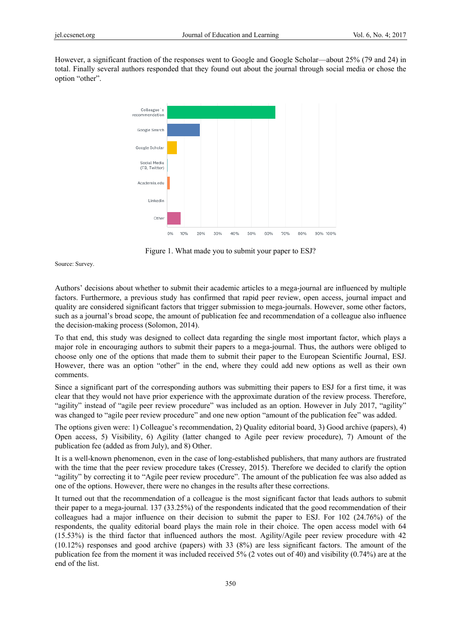However, a significant fraction of the responses went to Google and Google Scholar—about 25% (79 and 24) in total. Finally several authors responded that they found out about the journal through social media or chose the option "other".



Figure 1. What made you to submit your paper to ESJ?

Source: Survey.

Authors' decisions about whether to submit their academic articles to a mega-journal are influenced by multiple factors. Furthermore, a previous study has confirmed that rapid peer review, open access, journal impact and quality are considered significant factors that trigger submission to mega-journals. However, some other factors, such as a journal's broad scope, the amount of publication fee and recommendation of a colleague also influence the decision-making process (Solomon, 2014).

To that end, this study was designed to collect data regarding the single most important factor, which plays a major role in encouraging authors to submit their papers to a mega-journal. Thus, the authors were obliged to choose only one of the options that made them to submit their paper to the European Scientific Journal, ESJ. However, there was an option "other" in the end, where they could add new options as well as their own comments.

Since a significant part of the corresponding authors was submitting their papers to ESJ for a first time, it was clear that they would not have prior experience with the approximate duration of the review process. Therefore, "agility" instead of "agile peer review procedure" was included as an option. However in July 2017, "agility" was changed to "agile peer review procedure" and one new option "amount of the publication fee" was added.

The options given were: 1) Colleague's recommendation, 2) Quality editorial board, 3) Good archive (papers), 4) Open access, 5) Visibility, 6) Agility (latter changed to Agile peer review procedure), 7) Amount of the publication fee (added as from July), and 8) Other.

It is a well-known phenomenon, even in the case of long-established publishers, that many authors are frustrated with the time that the peer review procedure takes (Cressey, 2015). Therefore we decided to clarify the option "agility" by correcting it to "Agile peer review procedure". The amount of the publication fee was also added as one of the options. However, there were no changes in the results after these corrections.

It turned out that the recommendation of a colleague is the most significant factor that leads authors to submit their paper to a mega-journal. 137 (33.25%) of the respondents indicated that the good recommendation of their colleagues had a major influence on their decision to submit the paper to ESJ. For 102 (24.76%) of the respondents, the quality editorial board plays the main role in their choice. The open access model with 64 (15.53%) is the third factor that influenced authors the most. Agility/Agile peer review procedure with 42 (10.12%) responses and good archive (papers) with 33 (8%) are less significant factors. The amount of the publication fee from the moment it was included received 5% (2 votes out of 40) and visibility (0.74%) are at the end of the list.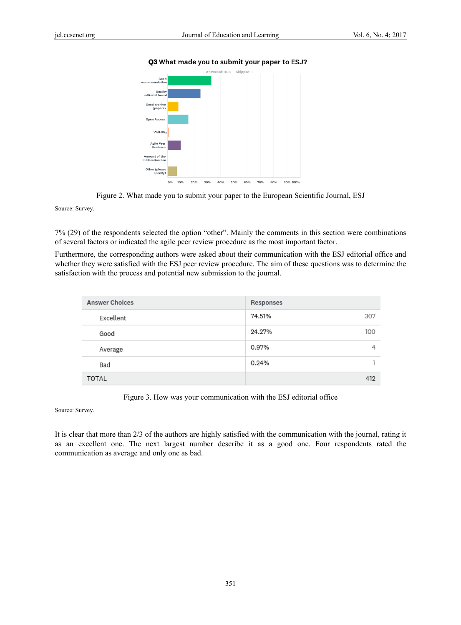#### Q3 What made you to submit your paper to ESJ?



Figure 2. What made you to submit your paper to the European Scientific Journal, ESJ

Source: Survey.

7% (29) of the respondents selected the option "other". Mainly the comments in this section were combinations of several factors or indicated the agile peer review procedure as the most important factor.

Furthermore, the corresponding authors were asked about their communication with the ESJ editorial office and whether they were satisfied with the ESJ peer review procedure. The aim of these questions was to determine the satisfaction with the process and potential new submission to the journal.

| <b>Answer Choices</b> | Responses     |   |
|-----------------------|---------------|---|
| Excellent             | 74.51%<br>307 |   |
| Good                  | 100<br>24.27% |   |
| Average               | 0.97%         | 4 |
| Bad                   | 0.24%         |   |
| TOTAL                 | 412           |   |

Figure 3. How was your communication with the ESJ editorial office

Source: Survey.

It is clear that more than 2/3 of the authors are highly satisfied with the communication with the journal, rating it as an excellent one. The next largest number describe it as a good one. Four respondents rated the communication as average and only one as bad.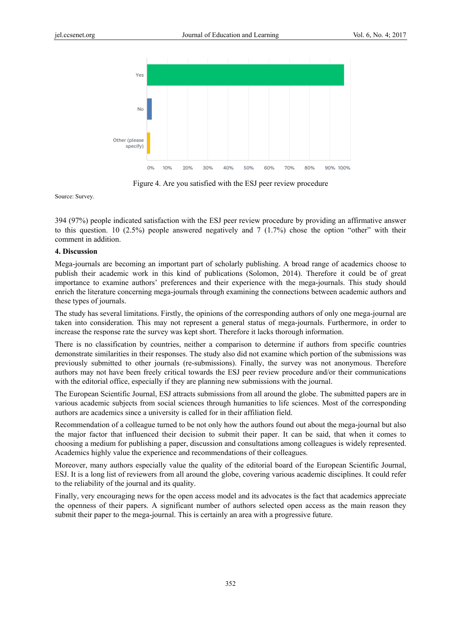

Figure 4. Are you satisfied with the ESJ peer review procedure

Source: Survey.

394 (97%) people indicated satisfaction with the ESJ peer review procedure by providing an affirmative answer to this question. 10 (2.5%) people answered negatively and 7 (1.7%) chose the option "other" with their comment in addition.

## **4. Discussion**

Mega-journals are becoming an important part of scholarly publishing. A broad range of academics choose to publish their academic work in this kind of publications (Solomon, 2014). Therefore it could be of great importance to examine authors' preferences and their experience with the mega-journals. This study should enrich the literature concerning mega-journals through examining the connections between academic authors and these types of journals.

The study has several limitations. Firstly, the opinions of the corresponding authors of only one mega-journal are taken into consideration. This may not represent a general status of mega-journals. Furthermore, in order to increase the response rate the survey was kept short. Therefore it lacks thorough information.

There is no classification by countries, neither a comparison to determine if authors from specific countries demonstrate similarities in their responses. The study also did not examine which portion of the submissions was previously submitted to other journals (re-submissions). Finally, the survey was not anonymous. Therefore authors may not have been freely critical towards the ESJ peer review procedure and/or their communications with the editorial office, especially if they are planning new submissions with the journal.

The European Scientific Journal, ESJ attracts submissions from all around the globe. The submitted papers are in various academic subjects from social sciences through humanities to life sciences. Most of the corresponding authors are academics since a university is called for in their affiliation field.

Recommendation of a colleague turned to be not only how the authors found out about the mega-journal but also the major factor that influenced their decision to submit their paper. It can be said, that when it comes to choosing a medium for publishing a paper, discussion and consultations among colleagues is widely represented. Academics highly value the experience and recommendations of their colleagues.

Moreover, many authors especially value the quality of the editorial board of the European Scientific Journal, ESJ. It is a long list of reviewers from all around the globe, covering various academic disciplines. It could refer to the reliability of the journal and its quality.

Finally, very encouraging news for the open access model and its advocates is the fact that academics appreciate the openness of their papers. A significant number of authors selected open access as the main reason they submit their paper to the mega-journal. This is certainly an area with a progressive future.